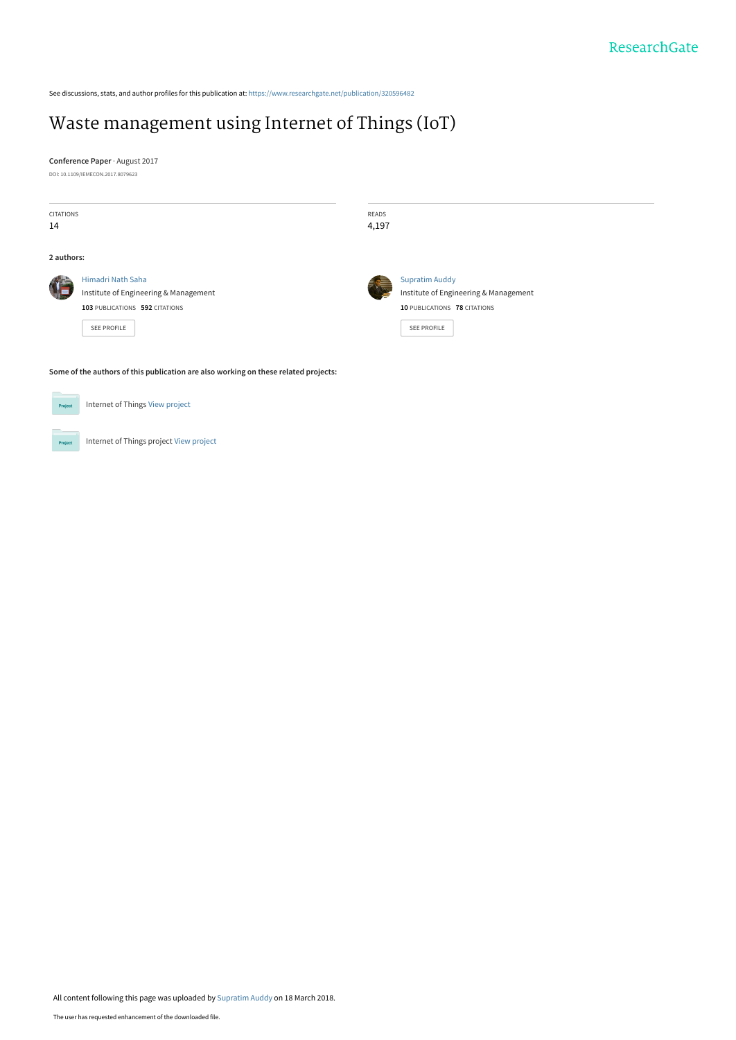See discussions, stats, and author profiles for this publication at: [https://www.researchgate.net/publication/320596482](https://www.researchgate.net/publication/320596482_Waste_management_using_Internet_of_Things_IoT?enrichId=rgreq-187ab3584e64d25a5305c18c593ab2b3-XXX&enrichSource=Y292ZXJQYWdlOzMyMDU5NjQ4MjtBUzo2MDU2MTI0NTQ5NjkzNDRAMTUyMTQwMDY2OTQ1Mw%3D%3D&el=1_x_2&_esc=publicationCoverPdf)

# [Waste management using Internet of Things \(IoT\)](https://www.researchgate.net/publication/320596482_Waste_management_using_Internet_of_Things_IoT?enrichId=rgreq-187ab3584e64d25a5305c18c593ab2b3-XXX&enrichSource=Y292ZXJQYWdlOzMyMDU5NjQ4MjtBUzo2MDU2MTI0NTQ5NjkzNDRAMTUyMTQwMDY2OTQ1Mw%3D%3D&el=1_x_3&_esc=publicationCoverPdf)

**Conference Paper** · August 2017 DOI: 10.1109/IEMECON.2017.8079623

CITATIONS 14 READS 4,197 **2 authors:** [Himadri Nath Saha](https://www.researchgate.net/profile/Himadri_Saha2?enrichId=rgreq-187ab3584e64d25a5305c18c593ab2b3-XXX&enrichSource=Y292ZXJQYWdlOzMyMDU5NjQ4MjtBUzo2MDU2MTI0NTQ5NjkzNDRAMTUyMTQwMDY2OTQ1Mw%3D%3D&el=1_x_5&_esc=publicationCoverPdf) [Institute of Engineering & Management](https://www.researchgate.net/institution/Institute_of_Engineering_Management2?enrichId=rgreq-187ab3584e64d25a5305c18c593ab2b3-XXX&enrichSource=Y292ZXJQYWdlOzMyMDU5NjQ4MjtBUzo2MDU2MTI0NTQ5NjkzNDRAMTUyMTQwMDY2OTQ1Mw%3D%3D&el=1_x_6&_esc=publicationCoverPdf) **103** PUBLICATIONS **592** CITATIONS [SEE PROFILE](https://www.researchgate.net/profile/Himadri_Saha2?enrichId=rgreq-187ab3584e64d25a5305c18c593ab2b3-XXX&enrichSource=Y292ZXJQYWdlOzMyMDU5NjQ4MjtBUzo2MDU2MTI0NTQ5NjkzNDRAMTUyMTQwMDY2OTQ1Mw%3D%3D&el=1_x_7&_esc=publicationCoverPdf) [Supratim Auddy](https://www.researchgate.net/profile/Supratim_Auddy?enrichId=rgreq-187ab3584e64d25a5305c18c593ab2b3-XXX&enrichSource=Y292ZXJQYWdlOzMyMDU5NjQ4MjtBUzo2MDU2MTI0NTQ5NjkzNDRAMTUyMTQwMDY2OTQ1Mw%3D%3D&el=1_x_5&_esc=publicationCoverPdf) [Institute of Engineering & Management](https://www.researchgate.net/institution/Institute_of_Engineering_Management2?enrichId=rgreq-187ab3584e64d25a5305c18c593ab2b3-XXX&enrichSource=Y292ZXJQYWdlOzMyMDU5NjQ4MjtBUzo2MDU2MTI0NTQ5NjkzNDRAMTUyMTQwMDY2OTQ1Mw%3D%3D&el=1_x_6&_esc=publicationCoverPdf) **10** PUBLICATIONS **78** CITATIONS [SEE PROFILE](https://www.researchgate.net/profile/Supratim_Auddy?enrichId=rgreq-187ab3584e64d25a5305c18c593ab2b3-XXX&enrichSource=Y292ZXJQYWdlOzMyMDU5NjQ4MjtBUzo2MDU2MTI0NTQ5NjkzNDRAMTUyMTQwMDY2OTQ1Mw%3D%3D&el=1_x_7&_esc=publicationCoverPdf)

**Some of the authors of this publication are also working on these related projects:**



 $Prc$ 

Internet of Things [View project](https://www.researchgate.net/project/Internet-of-Things-41?enrichId=rgreq-187ab3584e64d25a5305c18c593ab2b3-XXX&enrichSource=Y292ZXJQYWdlOzMyMDU5NjQ4MjtBUzo2MDU2MTI0NTQ5NjkzNDRAMTUyMTQwMDY2OTQ1Mw%3D%3D&el=1_x_9&_esc=publicationCoverPdf)

Internet of Things project [View project](https://www.researchgate.net/project/Internet-of-Things-project?enrichId=rgreq-187ab3584e64d25a5305c18c593ab2b3-XXX&enrichSource=Y292ZXJQYWdlOzMyMDU5NjQ4MjtBUzo2MDU2MTI0NTQ5NjkzNDRAMTUyMTQwMDY2OTQ1Mw%3D%3D&el=1_x_9&_esc=publicationCoverPdf)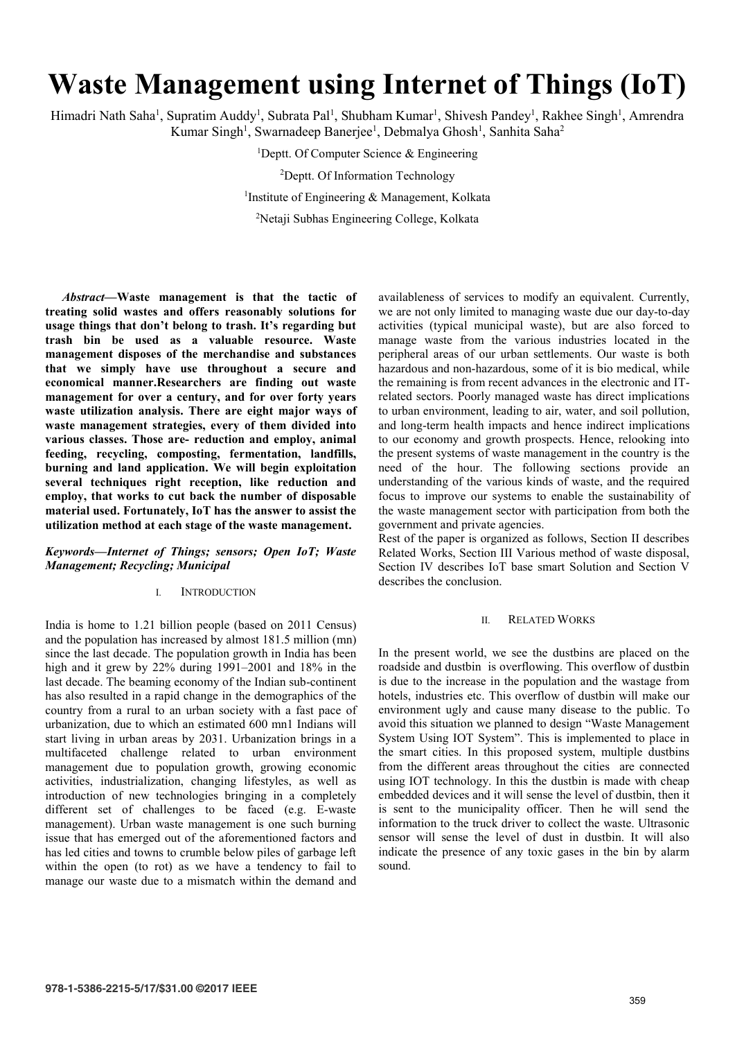# **Waste Management using Internet of Things (IoT)**

Himadri Nath Saha<sup>1</sup>, Supratim Auddy<sup>1</sup>, Subrata Pal<sup>1</sup>, Shubham Kumar<sup>1</sup>, Shivesh Pandey<sup>1</sup>, Rakhee Singh<sup>1</sup>, Amrendra Kumar Singh<sup>1</sup>, Swarnadeep Banerjee<sup>1</sup>, Debmalya Ghosh<sup>1</sup>, Sanhita Saha<sup>2</sup>

> <sup>1</sup>Deptt. Of Computer Science & Engineering 2 Deptt. Of Information Technology <sup>1</sup>Institute of Engineering & Management, Kolkata 2 Netaji Subhas Engineering College, Kolkata

*Abstract***—Waste management is that the tactic of treating solid wastes and offers reasonably solutions for usage things that don't belong to trash. It's regarding but trash bin be used as a valuable resource. Waste management disposes of the merchandise and substances that we simply have use throughout a secure and economical manner.Researchers are finding out waste management for over a century, and for over forty years waste utilization analysis. There are eight major ways of waste management strategies, every of them divided into various classes. Those are- reduction and employ, animal feeding, recycling, composting, fermentation, landfills, burning and land application. We will begin exploitation several techniques right reception, like reduction and employ, that works to cut back the number of disposable material used. Fortunately, IoT has the answer to assist the utilization method at each stage of the waste management.** 

## *Keywords—Internet of Things; sensors; Open IoT; Waste Management; Recycling; Municipal*

#### I. INTRODUCTION

India is home to 1.21 billion people (based on 2011 Census) and the population has increased by almost 181.5 million (mn) since the last decade. The population growth in India has been high and it grew by 22% during 1991–2001 and 18% in the last decade. The beaming economy of the Indian sub-continent has also resulted in a rapid change in the demographics of the country from a rural to an urban society with a fast pace of urbanization, due to which an estimated 600 mn1 Indians will start living in urban areas by 2031. Urbanization brings in a multifaceted challenge related to urban environment management due to population growth, growing economic activities, industrialization, changing lifestyles, as well as introduction of new technologies bringing in a completely different set of challenges to be faced (e.g. E-waste management). Urban waste management is one such burning issue that has emerged out of the aforementioned factors and has led cities and towns to crumble below piles of garbage left within the open (to rot) as we have a tendency to fail to manage our waste due to a mismatch within the demand and

availableness of services to modify an equivalent. Currently, we are not only limited to managing waste due our day-to-day activities (typical municipal waste), but are also forced to manage waste from the various industries located in the peripheral areas of our urban settlements. Our waste is both hazardous and non-hazardous, some of it is bio medical, while the remaining is from recent advances in the electronic and ITrelated sectors. Poorly managed waste has direct implications to urban environment, leading to air, water, and soil pollution, and long-term health impacts and hence indirect implications to our economy and growth prospects. Hence, relooking into the present systems of waste management in the country is the need of the hour. The following sections provide an understanding of the various kinds of waste, and the required focus to improve our systems to enable the sustainability of the waste management sector with participation from both the government and private agencies.

Rest of the paper is organized as follows, Section II describes Related Works, Section III Various method of waste disposal, Section IV describes IoT base smart Solution and Section V describes the conclusion.

#### II. RELATED WORKS

In the present world, we see the dustbins are placed on the roadside and dustbin is overflowing. This overflow of dustbin is due to the increase in the population and the wastage from hotels, industries etc. This overflow of dustbin will make our environment ugly and cause many disease to the public. To avoid this situation we planned to design "Waste Management System Using IOT System". This is implemented to place in the smart cities. In this proposed system, multiple dustbins from the different areas throughout the cities are connected using IOT technology. In this the dustbin is made with cheap embedded devices and it will sense the level of dustbin, then it is sent to the municipality officer. Then he will send the information to the truck driver to collect the waste. Ultrasonic sensor will sense the level of dust in dustbin. It will also indicate the presence of any toxic gases in the bin by alarm sound.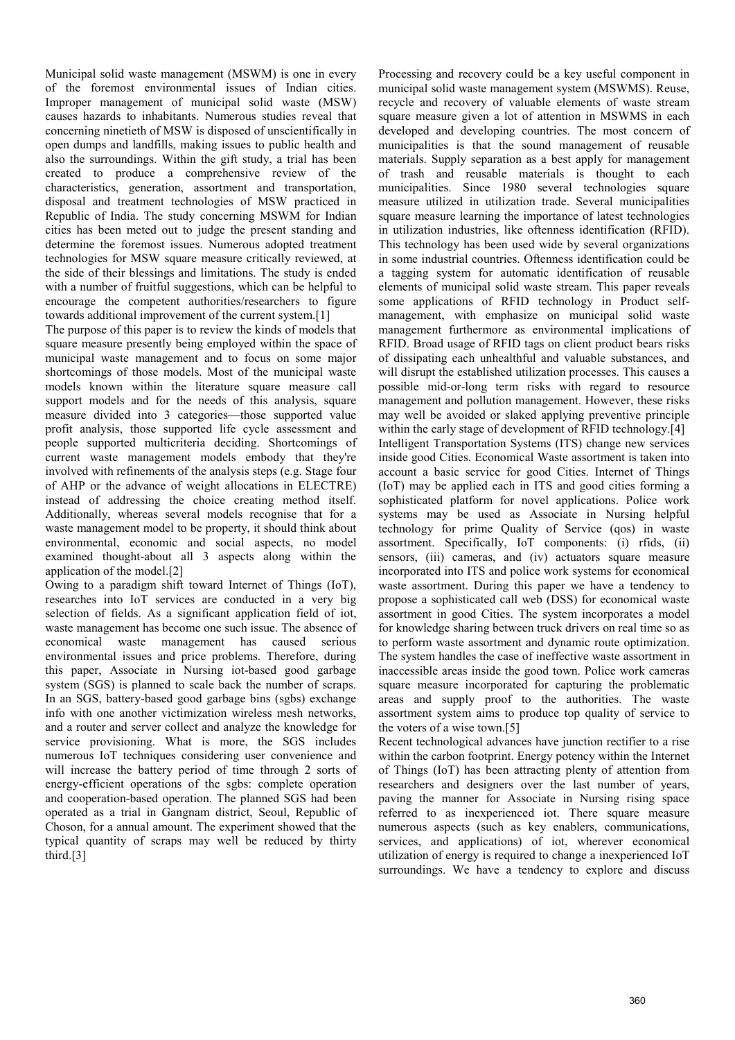Municipal solid waste management (MSWM) is one in every of the foremost environmental issues of Indian cities. Improper management of municipal solid waste (MSW) causes hazards to inhabitants. Numerous studies reveal that concerning ninetieth of MSW is disposed of unscientifically in open dumps and landfills, making issues to public health and also the surroundings. Within the gift study, a trial has been created to produce a comprehensive review of the characteristics, generation, assortment and transportation, disposal and treatment technologies of MSW practiced in Republic of India. The study concerning MSWM for Indian cities has been meted out to judge the present standing and determine the foremost issues. Numerous adopted treatment technologies for MSW square measure critically reviewed, at the side of their blessings and limitations. The study is ended with a number of fruitful suggestions, which can be helpful to encourage the competent authorities/researchers to figure towards additional improvement of the current system.[1]

The purpose of this paper is to review the kinds of models that square measure presently being employed within the space of municipal waste management and to focus on some major shortcomings of those models. Most of the municipal waste models known within the literature square measure call support models and for the needs of this analysis, square measure divided into 3 categories—those supported value profit analysis, those supported life cycle assessment and people supported multicriteria deciding. Shortcomings of current waste management models embody that they're involved with refinements of the analysis steps (e.g. Stage four of AHP or the advance of weight allocations in ELECTRE) instead of addressing the choice creating method itself. Additionally, whereas several models recognise that for a waste management model to be property, it should think about environmental, economic and social aspects, no model examined thought-about all 3 aspects along within the application of the model.[2]

Owing to a paradigm shift toward Internet of Things (IoT), researches into IoT services are conducted in a very big selection of fields. As a significant application field of iot, waste management has become one such issue. The absence of economical waste management has caused serious environmental issues and price problems. Therefore, during this paper, Associate in Nursing iot-based good garbage system (SGS) is planned to scale back the number of scraps. In an SGS, battery-based good garbage bins (sgbs) exchange info with one another victimization wireless mesh networks, and a router and server collect and analyze the knowledge for service provisioning. What is more, the SGS includes numerous IoT techniques considering user convenience and will increase the battery period of time through 2 sorts of energy-efficient operations of the sgbs: complete operation and cooperation-based operation. The planned SGS had been operated as a trial in Gangnam district, Seoul, Republic of Choson, for a annual amount. The experiment showed that the typical quantity of scraps may well be reduced by thirty third.[3]

Processing and recovery could be a key useful component in municipal solid waste management system (MSWMS). Reuse, recycle and recovery of valuable elements of waste stream square measure given a lot of attention in MSWMS in each developed and developing countries. The most concern of municipalities is that the sound management of reusable materials. Supply separation as a best apply for management of trash and reusable materials is thought to each municipalities. Since 1980 several technologies square measure utilized in utilization trade. Several municipalities square measure learning the importance of latest technologies in utilization industries, like oftenness identification (RFID). This technology has been used wide by several organizations in some industrial countries. Oftenness identification could be a tagging system for automatic identification of reusable elements of municipal solid waste stream. This paper reveals some applications of RFID technology in Product selfmanagement, with emphasize on municipal solid waste management furthermore as environmental implications of RFID. Broad usage of RFID tags on client product bears risks of dissipating each unhealthful and valuable substances, and will disrupt the established utilization processes. This causes a possible mid-or-long term risks with regard to resource management and pollution management. However, these risks may well be avoided or slaked applying preventive principle within the early stage of development of RFID technology.<sup>[4]</sup> Intelligent Transportation Systems (ITS) change new services inside good Cities. Economical Waste assortment is taken into account a basic service for good Cities. Internet of Things (IoT) may be applied each in ITS and good cities forming a sophisticated platform for novel applications. Police work systems may be used as Associate in Nursing helpful technology for prime Quality of Service (qos) in waste assortment. Specifically, IoT components: (i) rfids, (ii) sensors, (iii) cameras, and (iv) actuators square measure incorporated into ITS and police work systems for economical waste assortment. During this paper we have a tendency to propose a sophisticated call web (DSS) for economical waste assortment in good Cities. The system incorporates a model for knowledge sharing between truck drivers on real time so as to perform waste assortment and dynamic route optimization. The system handles the case of ineffective waste assortment in inaccessible areas inside the good town. Police work cameras square measure incorporated for capturing the problematic areas and supply proof to the authorities. The waste assortment system aims to produce top quality of service to the voters of a wise town.[5]

Recent technological advances have junction rectifier to a rise within the carbon footprint. Energy potency within the Internet of Things (IoT) has been attracting plenty of attention from researchers and designers over the last number of years, paving the manner for Associate in Nursing rising space referred to as inexperienced iot. There square measure numerous aspects (such as key enablers, communications, services, and applications) of iot, wherever economical utilization of energy is required to change a inexperienced IoT surroundings. We have a tendency to explore and discuss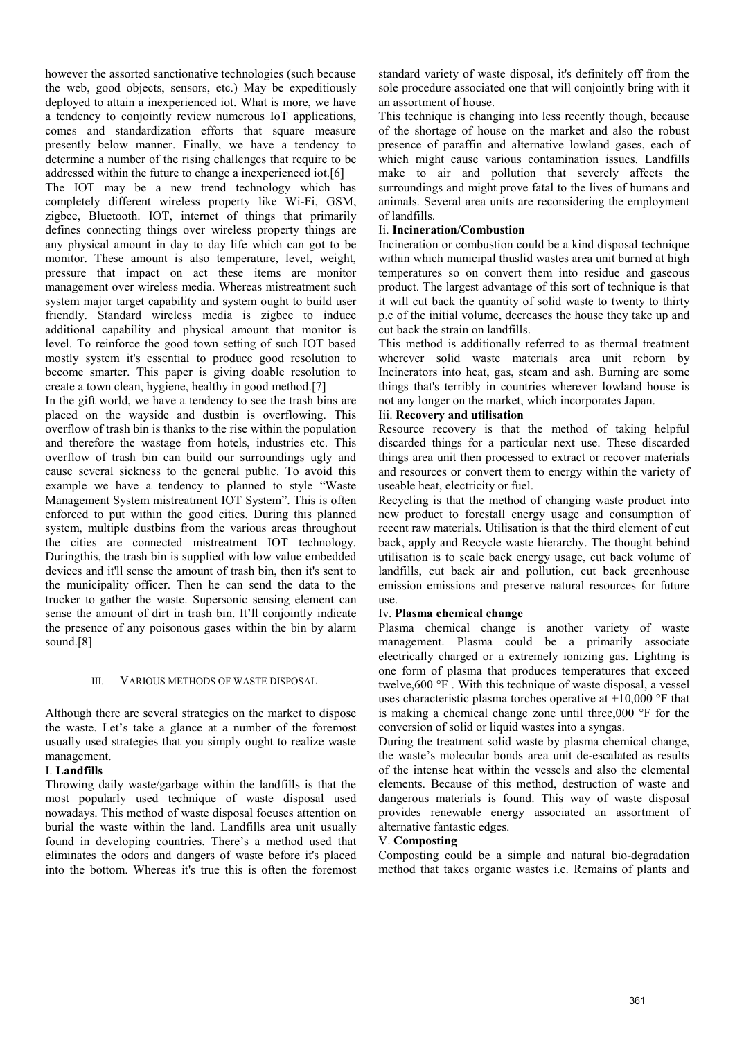however the assorted sanctionative technologies (such because the web, good objects, sensors, etc.) May be expeditiously deployed to attain a inexperienced iot. What is more, we have a tendency to conjointly review numerous IoT applications, comes and standardization efforts that square measure presently below manner. Finally, we have a tendency to determine a number of the rising challenges that require to be addressed within the future to change a inexperienced iot.[6] The IOT may be a new trend technology which has completely different wireless property like Wi-Fi, GSM, zigbee, Bluetooth. IOT, internet of things that primarily defines connecting things over wireless property things are any physical amount in day to day life which can got to be monitor. These amount is also temperature, level, weight, pressure that impact on act these items are monitor management over wireless media. Whereas mistreatment such system major target capability and system ought to build user friendly. Standard wireless media is zigbee to induce additional capability and physical amount that monitor is level. To reinforce the good town setting of such IOT based mostly system it's essential to produce good resolution to become smarter. This paper is giving doable resolution to create a town clean, hygiene, healthy in good method.[7]

In the gift world, we have a tendency to see the trash bins are placed on the wayside and dustbin is overflowing. This overflow of trash bin is thanks to the rise within the population and therefore the wastage from hotels, industries etc. This overflow of trash bin can build our surroundings ugly and cause several sickness to the general public. To avoid this example we have a tendency to planned to style "Waste Management System mistreatment IOT System". This is often enforced to put within the good cities. During this planned system, multiple dustbins from the various areas throughout the cities are connected mistreatment IOT technology. Duringthis, the trash bin is supplied with low value embedded devices and it'll sense the amount of trash bin, then it's sent to the municipality officer. Then he can send the data to the trucker to gather the waste. Supersonic sensing element can sense the amount of dirt in trash bin. It'll conjointly indicate the presence of any poisonous gases within the bin by alarm sound.[8]

#### III. VARIOUS METHODS OF WASTE DISPOSAL

Although there are several strategies on the market to dispose the waste. Let's take a glance at a number of the foremost usually used strategies that you simply ought to realize waste management.

# I. **Landfills**

Throwing daily waste/garbage within the landfills is that the most popularly used technique of waste disposal used nowadays. This method of waste disposal focuses attention on burial the waste within the land. Landfills area unit usually found in developing countries. There's a method used that eliminates the odors and dangers of waste before it's placed into the bottom. Whereas it's true this is often the foremost

standard variety of waste disposal, it's definitely off from the sole procedure associated one that will conjointly bring with it an assortment of house.

This technique is changing into less recently though, because of the shortage of house on the market and also the robust presence of paraffin and alternative lowland gases, each of which might cause various contamination issues. Landfills make to air and pollution that severely affects the surroundings and might prove fatal to the lives of humans and animals. Several area units are reconsidering the employment of landfills.

# Ii. **Incineration/Combustion**

Incineration or combustion could be a kind disposal technique within which municipal thuslid wastes area unit burned at high temperatures so on convert them into residue and gaseous product. The largest advantage of this sort of technique is that it will cut back the quantity of solid waste to twenty to thirty p.c of the initial volume, decreases the house they take up and cut back the strain on landfills.

This method is additionally referred to as thermal treatment wherever solid waste materials area unit reborn by Incinerators into heat, gas, steam and ash. Burning are some things that's terribly in countries wherever lowland house is not any longer on the market, which incorporates Japan.

# Iii. **Recovery and utilisation**

Resource recovery is that the method of taking helpful discarded things for a particular next use. These discarded things area unit then processed to extract or recover materials and resources or convert them to energy within the variety of useable heat, electricity or fuel.

Recycling is that the method of changing waste product into new product to forestall energy usage and consumption of recent raw materials. Utilisation is that the third element of cut back, apply and Recycle waste hierarchy. The thought behind utilisation is to scale back energy usage, cut back volume of landfills, cut back air and pollution, cut back greenhouse emission emissions and preserve natural resources for future use.

# Iv. **Plasma chemical change**

Plasma chemical change is another variety of waste management. Plasma could be a primarily associate electrically charged or a extremely ionizing gas. Lighting is one form of plasma that produces temperatures that exceed twelve,600 °F . With this technique of waste disposal, a vessel uses characteristic plasma torches operative at  $+10,000$  °F that is making a chemical change zone until three,000 °F for the conversion of solid or liquid wastes into a syngas.

During the treatment solid waste by plasma chemical change, the waste's molecular bonds area unit de-escalated as results of the intense heat within the vessels and also the elemental elements. Because of this method, destruction of waste and dangerous materials is found. This way of waste disposal provides renewable energy associated an assortment of alternative fantastic edges.

### V. **Composting**

Composting could be a simple and natural bio-degradation method that takes organic wastes i.e. Remains of plants and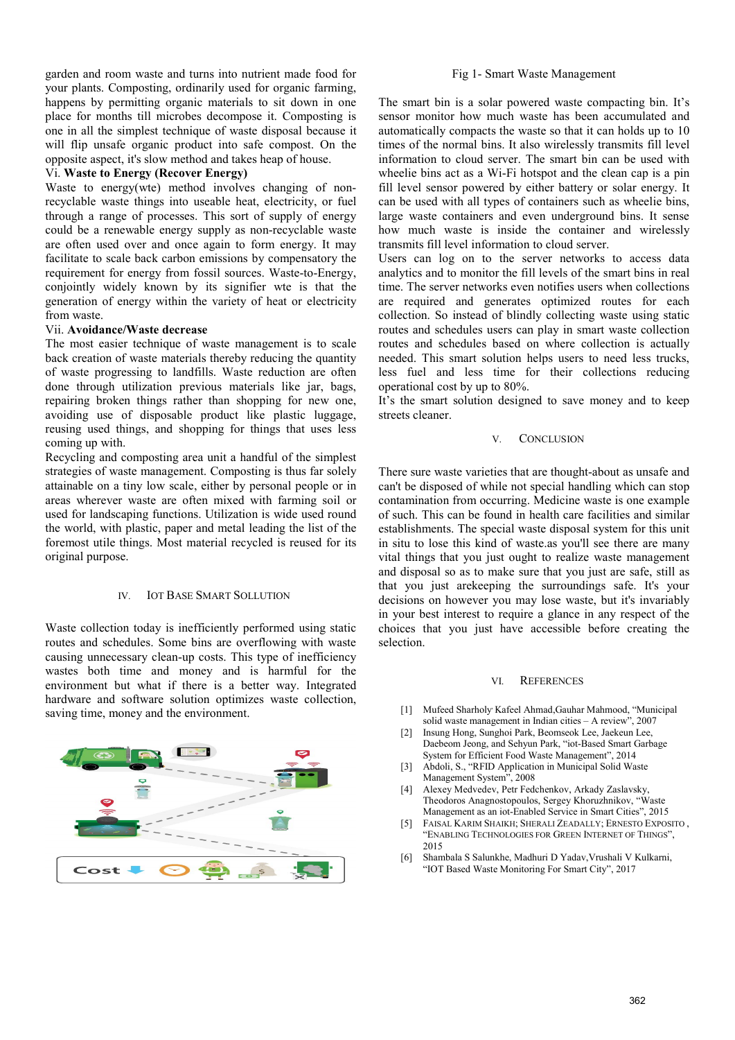garden and room waste and turns into nutrient made food for your plants. Composting, ordinarily used for organic farming, happens by permitting organic materials to sit down in one place for months till microbes decompose it. Composting is one in all the simplest technique of waste disposal because it will flip unsafe organic product into safe compost. On the opposite aspect, it's slow method and takes heap of house.

# Vi. **Waste to Energy (Recover Energy)**

Waste to energy(wte) method involves changing of nonrecyclable waste things into useable heat, electricity, or fuel through a range of processes. This sort of supply of energy could be a renewable energy supply as non-recyclable waste are often used over and once again to form energy. It may facilitate to scale back carbon emissions by compensatory the requirement for energy from fossil sources. Waste-to-Energy, conjointly widely known by its signifier wte is that the generation of energy within the variety of heat or electricity from waste.

#### Vii. **Avoidance/Waste decrease**

The most easier technique of waste management is to scale back creation of waste materials thereby reducing the quantity of waste progressing to landfills. Waste reduction are often done through utilization previous materials like jar, bags, repairing broken things rather than shopping for new one, avoiding use of disposable product like plastic luggage, reusing used things, and shopping for things that uses less coming up with.

Recycling and composting area unit a handful of the simplest strategies of waste management. Composting is thus far solely attainable on a tiny low scale, either by personal people or in areas wherever waste are often mixed with farming soil or used for landscaping functions. Utilization is wide used round the world, with plastic, paper and metal leading the list of the foremost utile things. Most material recycled is reused for its original purpose.

#### IV. IOT BASE SMART SOLLUTION

Waste collection today is inefficiently performed using static routes and schedules. Some bins are overflowing with waste causing unnecessary clean-up costs. This type of inefficiency wastes both time and money and is harmful for the environment but what if there is a better way. Integrated hardware and software solution optimizes waste collection, saving time, money and the environment.



### Fig 1- Smart Waste Management

The smart bin is a solar powered waste compacting bin. It's sensor monitor how much waste has been accumulated and automatically compacts the waste so that it can holds up to 10 times of the normal bins. It also wirelessly transmits fill level information to cloud server. The smart bin can be used with wheelie bins act as a Wi-Fi hotspot and the clean cap is a pin fill level sensor powered by either battery or solar energy. It can be used with all types of containers such as wheelie bins, large waste containers and even underground bins. It sense how much waste is inside the container and wirelessly transmits fill level information to cloud server.

Users can log on to the server networks to access data analytics and to monitor the fill levels of the smart bins in real time. The server networks even notifies users when collections are required and generates optimized routes for each collection. So instead of blindly collecting waste using static routes and schedules users can play in smart waste collection routes and schedules based on where collection is actually needed. This smart solution helps users to need less trucks, less fuel and less time for their collections reducing operational cost by up to 80%.

It's the smart solution designed to save money and to keep streets cleaner.

#### V. CONCLUSION

There sure waste varieties that are thought-about as unsafe and can't be disposed of while not special handling which can stop contamination from occurring. Medicine waste is one example of such. This can be found in health care facilities and similar establishments. The special waste disposal system for this unit in situ to lose this kind of waste.as you'll see there are many vital things that you just ought to realize waste management and disposal so as to make sure that you just are safe, still as that you just arekeeping the surroundings safe. It's your decisions on however you may lose waste, but it's invariably in your best interest to require a glance in any respect of the choices that you just have accessible before creating the selection.

#### VI. REFERENCES

- [1] Mufeed Sharholy, Kafeel Ahmad,Gauhar Mahmood, "Municipal solid waste management in Indian cities – A review", 2007
- [2] Insung Hong, Sunghoi Park, Beomseok Lee, Jaekeun Lee, Daebeom Jeong, and Sehyun Park, "iot-Based Smart Garbage System for Efficient Food Waste Management", 2014
- [3] Abdoli, S., "RFID Application in Municipal Solid Waste Management System", 2008
- [4] Alexey Medvedev, Petr Fedchenkov, Arkady Zaslavsky, Theodoros Anagnostopoulos, Sergey Khoruzhnikov, "Waste Management as an iot-Enabled Service in Smart Cities", 2015
- [5] FAISAL KARIM SHAIKH; SHERALI ZEADALLY; ERNESTO EXPOSITO , "ENABLING TECHNOLOGIES FOR GREEN INTERNET OF THINGS", 2015
- [6] Shambala S Salunkhe, Madhuri D Yadav,Vrushali V Kulkarni, "IOT Based Waste Monitoring For Smart City", 2017